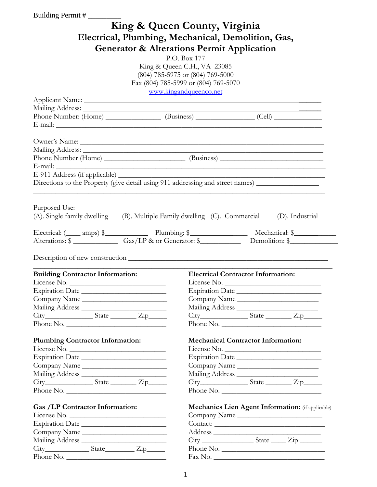| Building Permit #                                                                         |                                      |                                                            |  |  |  |
|-------------------------------------------------------------------------------------------|--------------------------------------|------------------------------------------------------------|--|--|--|
|                                                                                           | King & Queen County, Virginia        |                                                            |  |  |  |
|                                                                                           |                                      |                                                            |  |  |  |
| Electrical, Plumbing, Mechanical, Demolition, Gas,                                        |                                      |                                                            |  |  |  |
| <b>Generator &amp; Alterations Permit Application</b>                                     |                                      |                                                            |  |  |  |
|                                                                                           | P.O. Box 177                         |                                                            |  |  |  |
|                                                                                           | King & Queen C.H., VA 23085          |                                                            |  |  |  |
|                                                                                           | (804) 785-5975 or (804) 769-5000     |                                                            |  |  |  |
|                                                                                           | Fax (804) 785-5999 or (804) 769-5070 |                                                            |  |  |  |
|                                                                                           | www.kingandqueenco.net               |                                                            |  |  |  |
|                                                                                           |                                      |                                                            |  |  |  |
|                                                                                           |                                      |                                                            |  |  |  |
|                                                                                           |                                      |                                                            |  |  |  |
|                                                                                           |                                      |                                                            |  |  |  |
|                                                                                           |                                      |                                                            |  |  |  |
|                                                                                           |                                      |                                                            |  |  |  |
|                                                                                           |                                      |                                                            |  |  |  |
|                                                                                           |                                      |                                                            |  |  |  |
|                                                                                           |                                      |                                                            |  |  |  |
| Directions to the Property (give detail using 911 addressing and street names)            |                                      |                                                            |  |  |  |
|                                                                                           |                                      |                                                            |  |  |  |
|                                                                                           |                                      |                                                            |  |  |  |
| Purposed Use:                                                                             |                                      |                                                            |  |  |  |
| (A). Single family dwelling (B). Multiple Family dwelling (C). Commercial (D). Industrial |                                      |                                                            |  |  |  |
|                                                                                           |                                      |                                                            |  |  |  |
| Alterations: \$ ________________ Gas/LP & or Generator: \$ _____________ Demolition: \$   |                                      |                                                            |  |  |  |
|                                                                                           |                                      |                                                            |  |  |  |
|                                                                                           |                                      |                                                            |  |  |  |
|                                                                                           |                                      |                                                            |  |  |  |
| <b>Building Contractor Information:</b>                                                   |                                      | <b>Electrical Contractor Information:</b>                  |  |  |  |
| License No.                                                                               |                                      | License No.                                                |  |  |  |
| Expiration Date                                                                           |                                      | Expiration Date                                            |  |  |  |
| Company Name                                                                              |                                      | Company Name                                               |  |  |  |
|                                                                                           |                                      |                                                            |  |  |  |
|                                                                                           |                                      | $City$ $State$ $Zip$                                       |  |  |  |
| Phone No.                                                                                 |                                      | Phone No.                                                  |  |  |  |
|                                                                                           |                                      |                                                            |  |  |  |
| <b>Plumbing Contractor Information:</b>                                                   |                                      | <b>Mechanical Contractor Information:</b>                  |  |  |  |
| License No.                                                                               |                                      | License No.                                                |  |  |  |
| Expiration Date                                                                           |                                      | Expiration Date                                            |  |  |  |
| Company Name                                                                              |                                      | Company Name                                               |  |  |  |
|                                                                                           |                                      |                                                            |  |  |  |
|                                                                                           |                                      |                                                            |  |  |  |
| Phone No.                                                                                 |                                      | Phone No.                                                  |  |  |  |
| Gas /LP Contractor Information:                                                           |                                      |                                                            |  |  |  |
|                                                                                           |                                      |                                                            |  |  |  |
|                                                                                           |                                      | Mechanics Lien Agent Information: (if applicable)          |  |  |  |
| License No.                                                                               |                                      | Company Name                                               |  |  |  |
| Expiration Date                                                                           |                                      | Contact:                                                   |  |  |  |
| Company Name                                                                              |                                      |                                                            |  |  |  |
|                                                                                           |                                      | $City$ $\_\_\_\_\$ $State$ $\_\_\_\_$ $Zip$ $\_\_\_\_\_\_$ |  |  |  |
| City___________________State_______________Zip_________<br>Phone No.                      |                                      | Phone No.                                                  |  |  |  |